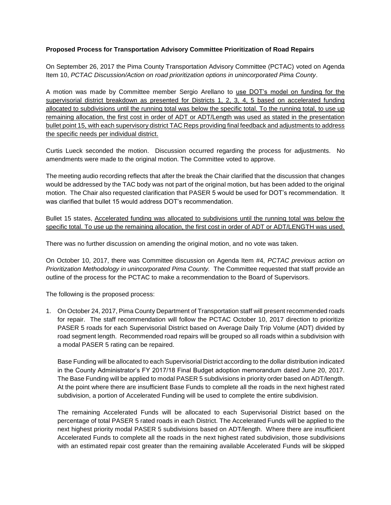## **Proposed Process for Transportation Advisory Committee Prioritization of Road Repairs**

On September 26, 2017 the Pima County Transportation Advisory Committee (PCTAC) voted on Agenda Item 10, *PCTAC Discussion/Action on road prioritization options in unincorporated Pima County*.

A motion was made by Committee member Sergio Arellano to use DOT's model on funding for the supervisorial district breakdown as presented for Districts 1, 2, 3, 4, 5 based on accelerated funding allocated to subdivisions until the running total was below the specific total. To the running total, to use up remaining allocation, the first cost in order of ADT or ADT/Length was used as stated in the presentation bullet point 15, with each supervisory district TAC Reps providing final feedback and adjustments to address the specific needs per individual district.

Curtis Lueck seconded the motion. Discussion occurred regarding the process for adjustments. No amendments were made to the original motion. The Committee voted to approve.

The meeting audio recording reflects that after the break the Chair clarified that the discussion that changes would be addressed by the TAC body was not part of the original motion, but has been added to the original motion. The Chair also requested clarification that PASER 5 would be used for DOT's recommendation. It was clarified that bullet 15 would address DOT's recommendation.

Bullet 15 states, Accelerated funding was allocated to subdivisions until the running total was below the specific total. To use up the remaining allocation, the first cost in order of ADT or ADT/LENGTH was used.

There was no further discussion on amending the original motion, and no vote was taken.

On October 10, 2017, there was Committee discussion on Agenda Item #4, *PCTAC previous action on Prioritization Methodology in unincorporated Pima County.* The Committee requested that staff provide an outline of the process for the PCTAC to make a recommendation to the Board of Supervisors.

The following is the proposed process:

1. On October 24, 2017, Pima County Department of Transportation staff will present recommended roads for repair. The staff recommendation will follow the PCTAC October 10, 2017 direction to prioritize PASER 5 roads for each Supervisorial District based on Average Daily Trip Volume (ADT) divided by road segment length. Recommended road repairs will be grouped so all roads within a subdivision with a modal PASER 5 rating can be repaired.

Base Funding will be allocated to each Supervisorial District according to the dollar distribution indicated in the County Administrator's FY 2017/18 Final Budget adoption memorandum dated June 20, 2017. The Base Funding will be applied to modal PASER 5 subdivisions in priority order based on ADT/length. At the point where there are insufficient Base Funds to complete all the roads in the next highest rated subdivision, a portion of Accelerated Funding will be used to complete the entire subdivision.

The remaining Accelerated Funds will be allocated to each Supervisorial District based on the percentage of total PASER 5 rated roads in each District. The Accelerated Funds will be applied to the next highest priority modal PASER 5 subdivisions based on ADT/length. Where there are insufficient Accelerated Funds to complete all the roads in the next highest rated subdivision, those subdivisions with an estimated repair cost greater than the remaining available Accelerated Funds will be skipped